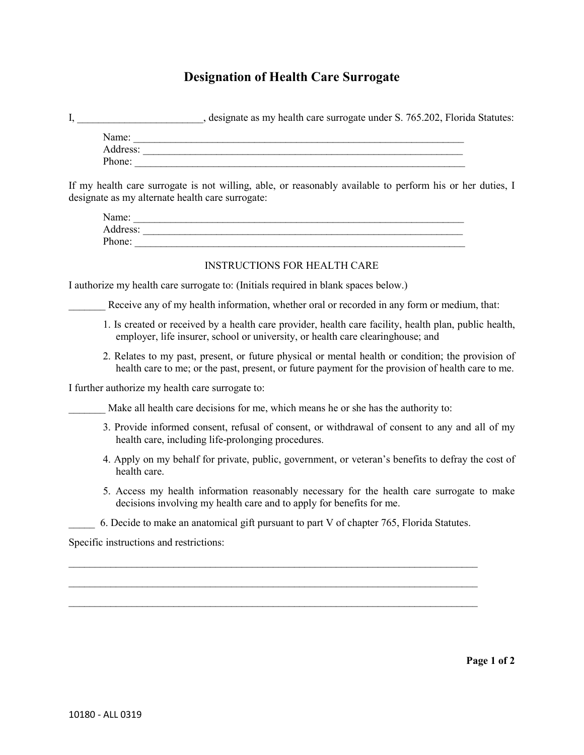## **Designation of Health Care Surrogate**

| I, _______________________________, designate as my health care surrogate under S. 765.202, Florida Statutes:                                                                                            |
|----------------------------------------------------------------------------------------------------------------------------------------------------------------------------------------------------------|
|                                                                                                                                                                                                          |
|                                                                                                                                                                                                          |
| Phone:                                                                                                                                                                                                   |
| If my health care surrogate is not willing, able, or reasonably available to perform his or her duties, I<br>designate as my alternate health care surrogate:                                            |
| Name:                                                                                                                                                                                                    |
|                                                                                                                                                                                                          |
|                                                                                                                                                                                                          |
| <b>INSTRUCTIONS FOR HEALTH CARE</b>                                                                                                                                                                      |
| I authorize my health care surrogate to: (Initials required in blank spaces below.)                                                                                                                      |
| Receive any of my health information, whether oral or recorded in any form or medium, that:                                                                                                              |
| 1. Is created or received by a health care provider, health care facility, health plan, public health,<br>employer, life insurer, school or university, or health care clearinghouse; and                |
| 2. Relates to my past, present, or future physical or mental health or condition; the provision of<br>health care to me; or the past, present, or future payment for the provision of health care to me. |
| I further authorize my health care surrogate to:                                                                                                                                                         |
| Make all health care decisions for me, which means he or she has the authority to:                                                                                                                       |
| 3. Provide informed consent, refusal of consent, or withdrawal of consent to any and all of my<br>health care, including life-prolonging procedures.                                                     |
| 4. Apply on my behalf for private, public, government, or veteran's benefits to defray the cost of<br>health care.                                                                                       |
| 5. Access my health information reasonably necessary for the health care surrogate to make<br>decisions involving my health care and to apply for benefits for me.                                       |
| 6. Decide to make an anatomical gift pursuant to part V of chapter 765, Florida Statutes.                                                                                                                |
| Specific instructions and restrictions:                                                                                                                                                                  |
|                                                                                                                                                                                                          |
|                                                                                                                                                                                                          |
|                                                                                                                                                                                                          |